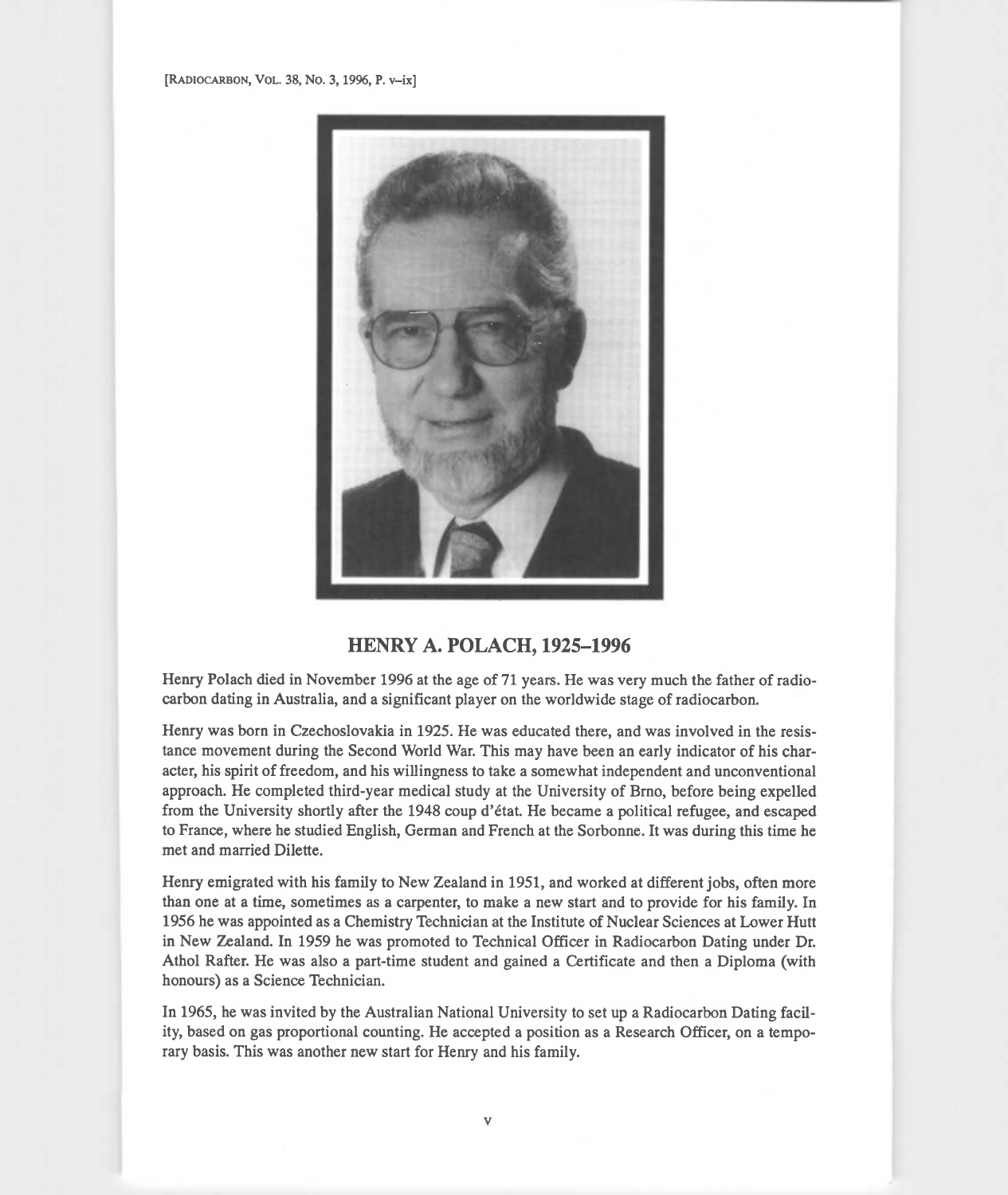

## HENRY A. POLACH, 1925-1996

Henry Polach died in November 1996 at the age of 71 years. He was very much the father of radiocarbon dating in Australia, and a significant player on the worldwide stage of radiocarbon.

Henry was born in Czechoslovakia in 1925. He was educated there, and was involved in the resistance movement during the Second World War. This may have been an early indicator of his character, his spirit of freedom, and his willingness to take a somewhat independent and unconventional approach. He completed third-year medical study at the University of Brno, before being expelled from the University shortly after the 1948 coup d'etat. He became a political refugee, and escaped to France, where he studied English, German and French at the Sorbonne. It was during this time he met and married Dilette.

Henry emigrated with his family to New Zealand in 1951, and worked at different jobs, often more than one at a time, sometimes as a carpenter, to make a new start and to provide for his family. In 1956 he was appointed as a Chemistry Technician at the Institute of Nuclear Sciences at Lower Hutt in New Zealand. In 1959 he was promoted to Technical Officer in Radiocarbon Dating under Dr. Athol Rafter. He was also a part-time student and gained a Certificate and then a Diploma (with honours) as a Science Technician.

In 1965, he was invited by the Australian National University to set up a Radiocarbon Dating facility, based on gas proportional counting. He accepted a position as a Research Officer, on a temporary basis. This was another new start for Henry and his family.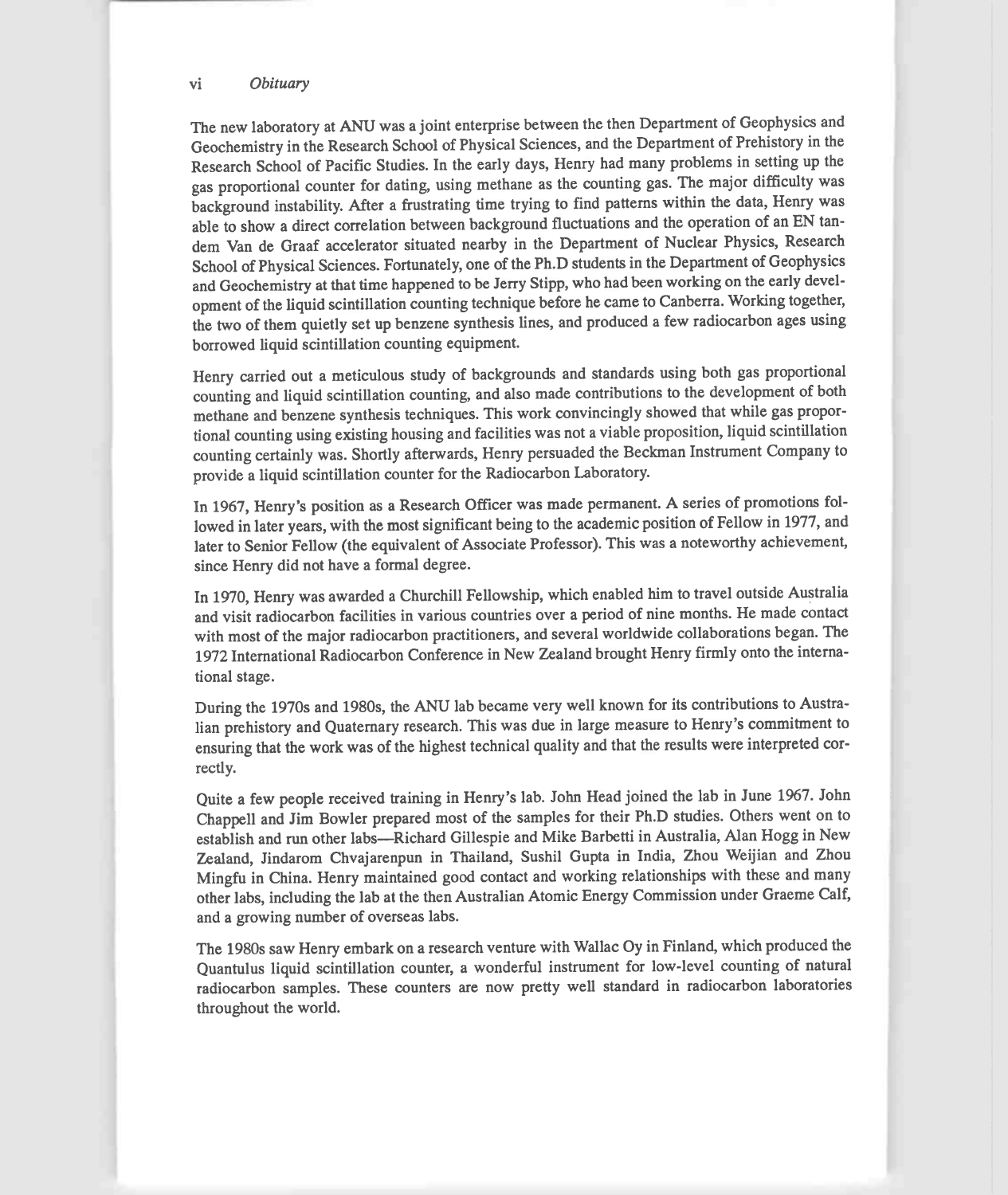## vi Obituary

The new laboratory at ANU was a joint enterprise between the then Department of Geophysics and Geochemistry in the Research School of Physical Sciences, and the Department of Prehistory in the Research School of Pacific Studies. In the early days, Henry had many problems in setting up the gas proportional counter for dating, using methane as the counting gas. The major difficulty was background instability. After a frustrating time trying to find patterns within the data, Henry was able to show a direct correlation between background fluctuations and the operation of an EN tandem Van de Graaf accelerator situated nearby in the Department of Nuclear Physics, Research School of Physical Sciences. Fortunately, one of the Ph.D students in the Department of Geophysics and Geochemistry at that time happened to be Jerry Stipp, who had been working on the early development of the liquid scintillation counting technique before he came to Canberra. Working together, the two of them quietly set up benzene synthesis lines, and produced a few radiocarbon ages using borrowed liquid scintillation counting equipment.

Henry carried out a meticulous study of backgrounds and standards using both gas proportional counting and liquid scintillation counting, and also made contributions to the development of both methane and benzene synthesis techniques. This work convincingly showed that while gas proportional counting using existing housing and facilities was not a viable proposition, liquid scintillation counting certainly was. Shortly afterwards, Henry persuaded the Beckman Instrument Company to provide a liquid scintillation counter for the Radiocarbon Laboratory.

In 1967, Henry's position as a Research Officer was made permanent. A series of promotions followed in later years, with the most significant being to the academic position of Fellow in 1977, and later to Senior Fellow (the equivalent of Associate Professor). This was a noteworthy achievement, since Henry did not have a formal degree.

In 1970, Henry was awarded a Churchill Fellowship, which enabled him to travel outside Australia and visit radiocarbon facilities in various countries over a period of nine months. He made contact with most of the major radiocarbon practitioners, and several worldwide collaborations began. The 1972 International Radiocarbon Conference in New Zealand brought Henry firmly onto the international stage.

During the 1970s and 1980s, the ANU lab became very well known for its contributions to Australian prehistory and Quaternary research. This was due in large measure to Henry's commitment to ensuring that the work was of the highest technical quality and that the results were interpreted correctly.

Quite a few people received training in Henry's lab. John Head joined the lab in June 1967. John Chappell and Jim Bowler prepared most of the samples for their Ph.D studies. Others went on to establish and run other labs-Richard Gillespie and Mike Barbetti in Australia, Alan Hogg in New Zealand, Jindarom Chvajarenpun in Thailand, Sushil Gupta in India, Zhou Weijian and Zhou Mingfu in China. Henry maintained good contact and working relationships with these and many other labs, including the lab at the then Australian Atomic Energy Commission under Graeme Calf, and a growing number of overseas labs.

The 1980s saw Henry embark on a research venture with Wallac Oy in Finland, which produced the Quantulus liquid scintillation counter, a wonderful instrument for low-level counting of natural radiocarbon samples. These counters are now pretty well standard in radiocarbon laboratories throughout the world.